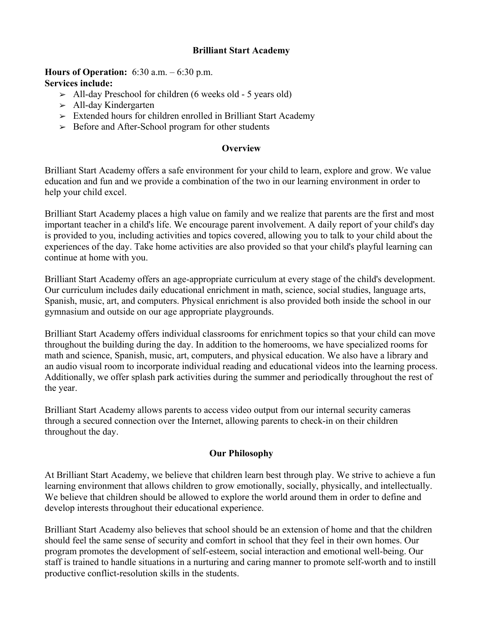## **Brilliant Start Academy**

#### **Hours of Operation:** 6:30 a.m. – 6:30 p.m. **Services include:**

- $>$  All-day Preschool for children (6 weeks old 5 years old)
- $\geq$  All-day Kindergarten
- ➢ Extended hours for children enrolled in Brilliant Start Academy
- $\geq$  Before and After-School program for other students

### **Overview**

Brilliant Start Academy offers a safe environment for your child to learn, explore and grow. We value education and fun and we provide a combination of the two in our learning environment in order to help your child excel.

Brilliant Start Academy places a high value on family and we realize that parents are the first and most important teacher in a child's life. We encourage parent involvement. A daily report of your child's day is provided to you, including activities and topics covered, allowing you to talk to your child about the experiences of the day. Take home activities are also provided so that your child's playful learning can continue at home with you.

Brilliant Start Academy offers an age-appropriate curriculum at every stage of the child's development. Our curriculum includes daily educational enrichment in math, science, social studies, language arts, Spanish, music, art, and computers. Physical enrichment is also provided both inside the school in our gymnasium and outside on our age appropriate playgrounds.

Brilliant Start Academy offers individual classrooms for enrichment topics so that your child can move throughout the building during the day. In addition to the homerooms, we have specialized rooms for math and science, Spanish, music, art, computers, and physical education. We also have a library and an audio visual room to incorporate individual reading and educational videos into the learning process. Additionally, we offer splash park activities during the summer and periodically throughout the rest of the year.

Brilliant Start Academy allows parents to access video output from our internal security cameras through a secured connection over the Internet, allowing parents to check-in on their children throughout the day.

### **Our Philosophy**

At Brilliant Start Academy, we believe that children learn best through play. We strive to achieve a fun learning environment that allows children to grow emotionally, socially, physically, and intellectually. We believe that children should be allowed to explore the world around them in order to define and develop interests throughout their educational experience.

Brilliant Start Academy also believes that school should be an extension of home and that the children should feel the same sense of security and comfort in school that they feel in their own homes. Our program promotes the development of self-esteem, social interaction and emotional well-being. Our staff is trained to handle situations in a nurturing and caring manner to promote self-worth and to instill productive conflict-resolution skills in the students.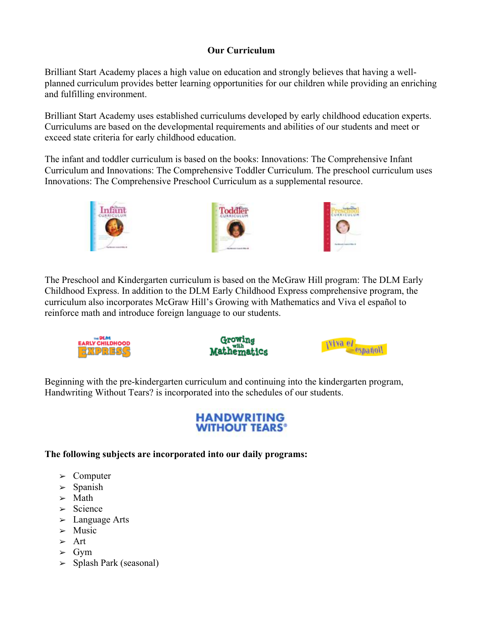# **Our Curriculum**

Brilliant Start Academy places a high value on education and strongly believes that having a wellplanned curriculum provides better learning opportunities for our children while providing an enriching and fulfilling environment.

Brilliant Start Academy uses established curriculums developed by early childhood education experts. Curriculums are based on the developmental requirements and abilities of our students and meet or exceed state criteria for early childhood education.

The infant and toddler curriculum is based on the books: Innovations: The Comprehensive Infant Curriculum and Innovations: The Comprehensive Toddler Curriculum. The preschool curriculum uses Innovations: The Comprehensive Preschool Curriculum as a supplemental resource.



The Preschool and Kindergarten curriculum is based on the McGraw Hill program: The DLM Early Childhood Express. In addition to the DLM Early Childhood Express comprehensive program, the curriculum also incorporates McGraw Hill's Growing with Mathematics and Viva el español to reinforce math and introduce foreign language to our students.







Beginning with the pre-kindergarten curriculum and continuing into the kindergarten program, Handwriting Without Tears? is incorporated into the schedules of our students.

# **HANDWRITING WITHOUT TEARS<sup>®</sup>**

# **The following subjects are incorporated into our daily programs:**

- ➢ Computer
- $\geq$  Spanish
- $>$  Math
- $\geq$  Science
- $\geq$  Language Arts
- $>$  Music
- ➢ Art
- $\geq$  Gym
- ➢ Splash Park (seasonal)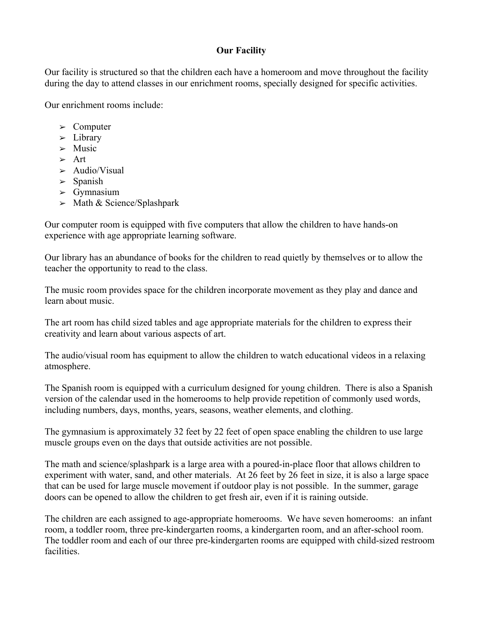# **Our Facility**

Our facility is structured so that the children each have a homeroom and move throughout the facility during the day to attend classes in our enrichment rooms, specially designed for specific activities.

Our enrichment rooms include:

- ➢ Computer
- $\geq$  Library
- $>$  Music
- ➢ Art
- $\blacktriangleright$  Audio/Visual
- $\geq$  Spanish
- $\geq$  Gymnasium
- $>$  Math & Science/Splashpark

Our computer room is equipped with five computers that allow the children to have hands-on experience with age appropriate learning software.

Our library has an abundance of books for the children to read quietly by themselves or to allow the teacher the opportunity to read to the class.

The music room provides space for the children incorporate movement as they play and dance and learn about music.

The art room has child sized tables and age appropriate materials for the children to express their creativity and learn about various aspects of art.

The audio/visual room has equipment to allow the children to watch educational videos in a relaxing atmosphere.

The Spanish room is equipped with a curriculum designed for young children. There is also a Spanish version of the calendar used in the homerooms to help provide repetition of commonly used words, including numbers, days, months, years, seasons, weather elements, and clothing.

The gymnasium is approximately 32 feet by 22 feet of open space enabling the children to use large muscle groups even on the days that outside activities are not possible.

The math and science/splashpark is a large area with a poured-in-place floor that allows children to experiment with water, sand, and other materials. At 26 feet by 26 feet in size, it is also a large space that can be used for large muscle movement if outdoor play is not possible. In the summer, garage doors can be opened to allow the children to get fresh air, even if it is raining outside.

The children are each assigned to age-appropriate homerooms. We have seven homerooms: an infant room, a toddler room, three pre-kindergarten rooms, a kindergarten room, and an after-school room. The toddler room and each of our three pre-kindergarten rooms are equipped with child-sized restroom facilities.